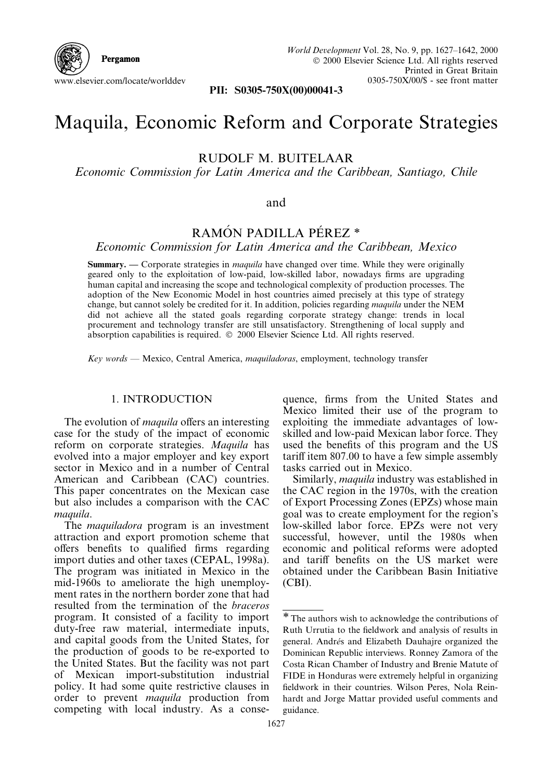

PII: S0305-750X(00)00041-3

# Maquila, Economic Reform and Corporate Strategies

RUDOLF M. BUITELAAR

Economic Commission for Latin America and the Caribbean, Santiago, Chile

#### and

## RAMÓN PADILLA PÉREZ<sup>\*</sup>

Economic Commission for Latin America and the Caribbean, Mexico

**Summary.**  $\sim$  Corporate strategies in *maquila* have changed over time. While they were originally geared only to the exploitation of low-paid, low-skilled labor, nowadays firms are upgrading human capital and increasing the scope and technological complexity of production processes. The adoption of the New Economic Model in host countries aimed precisely at this type of strategy change, but cannot solely be credited for it. In addition, policies regarding *maquila* under the NEM did not achieve all the stated goals regarding corporate strategy change: trends in local procurement and technology transfer are still unsatisfactory. Strengthening of local supply and absorption capabilities is required.  $\odot$  2000 Elsevier Science Ltd. All rights reserved.

 $Key words$   $Mev$   $N$ exico, Central America, *maquiladoras*, employment, technology transfer

### 1. INTRODUCTION

The evolution of *maquila* offers an interesting case for the study of the impact of economic reform on corporate strategies. Maquila has evolved into a major employer and key export sector in Mexico and in a number of Central American and Caribbean (CAC) countries. This paper concentrates on the Mexican case but also includes a comparison with the CAC maquila.

The *maquiladora* program is an investment attraction and export promotion scheme that offers benefits to qualified firms regarding import duties and other taxes (CEPAL, 1998a). The program was initiated in Mexico in the mid-1960s to ameliorate the high unemployment rates in the northern border zone that had resulted from the termination of the braceros program. It consisted of a facility to import duty-free raw material, intermediate inputs, and capital goods from the United States, for the production of goods to be re-exported to the United States. But the facility was not part of Mexican import-substitution industrial policy. It had some quite restrictive clauses in order to prevent maquila production from competing with local industry. As a conse-

quence, firms from the United States and Mexico limited their use of the program to exploiting the immediate advantages of lowskilled and low-paid Mexican labor force. They used the benefits of this program and the US tariff item  $807.00$  to have a few simple assembly tasks carried out in Mexico.

Similarly, maquila industry was established in the CAC region in the 1970s, with the creation of Export Processing Zones (EPZs) whose main goal was to create employment for the region's low-skilled labor force. EPZs were not very successful, however, until the 1980s when economic and political reforms were adopted and tariff benefits on the US market were obtained under the Caribbean Basin Initiative (CBI).

<sup>\*</sup>The authors wish to acknowledge the contributions of Ruth Urrutia to the fieldwork and analysis of results in general. Andrés and Elizabeth Dauhajre organized the Dominican Republic interviews. Ronney Zamora of the Costa Rican Chamber of Industry and Brenie Matute of FIDE in Honduras were extremely helpful in organizing fieldwork in their countries. Wilson Peres, Nola Reinhardt and Jorge Mattar provided useful comments and guidance.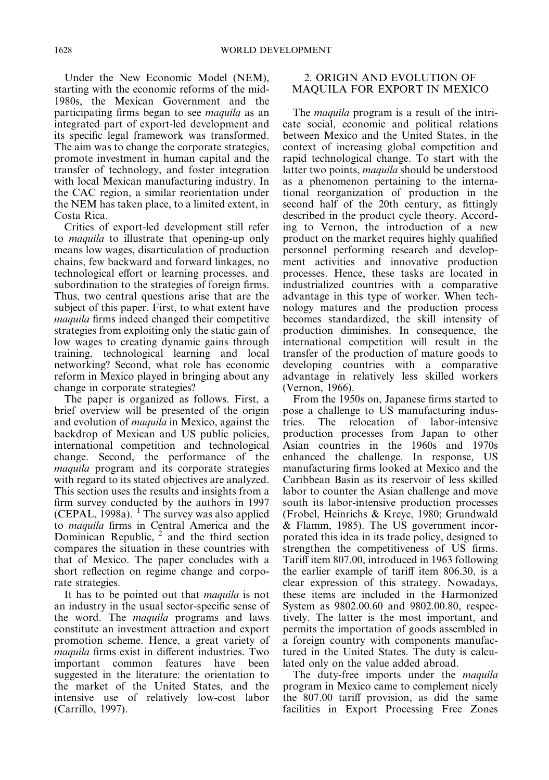Under the New Economic Model (NEM), starting with the economic reforms of the mid-1980s, the Mexican Government and the participating firms began to see *maquila* as an integrated part of export-led development and its specific legal framework was transformed. The aim was to change the corporate strategies, promote investment in human capital and the transfer of technology, and foster integration with local Mexican manufacturing industry. In the CAC region, a similar reorientation under the NEM has taken place, to a limited extent, in Costa Rica.

Critics of export-led development still refer to maquila to illustrate that opening-up only means low wages, disarticulation of production chains, few backward and forward linkages, no technological effort or learning processes, and subordination to the strategies of foreign firms. Thus, two central questions arise that are the subject of this paper. First, to what extent have *maquila* firms indeed changed their competitive strategies from exploiting only the static gain of low wages to creating dynamic gains through training, technological learning and local networking? Second, what role has economic reform in Mexico played in bringing about any change in corporate strategies?

The paper is organized as follows. First, a brief overview will be presented of the origin and evolution of maquila in Mexico, against the backdrop of Mexican and US public policies, international competition and technological change. Second, the performance of the maquila program and its corporate strategies with regard to its stated objectives are analyzed. This section uses the results and insights from a firm survey conducted by the authors in 1997 (CEPAL, 1998a). <sup>1</sup> The survey was also applied to maquila firms in Central America and the Dominican Republic,  $2$  and the third section compares the situation in these countries with that of Mexico. The paper concludes with a short reflection on regime change and corporate strategies.

It has to be pointed out that *maquila* is not an industry in the usual sector-specific sense of the word. The maquila programs and laws constitute an investment attraction and export promotion scheme. Hence, a great variety of *maquila* firms exist in different industries. Two important common features have been suggested in the literature: the orientation to the market of the United States, and the intensive use of relatively low-cost labor (Carrillo, 1997).

### 2. ORIGIN AND EVOLUTION OF MAQUILA FOR EXPORT IN MEXICO

The *maquila* program is a result of the intricate social, economic and political relations between Mexico and the United States, in the context of increasing global competition and rapid technological change. To start with the latter two points, maquila should be understood as a phenomenon pertaining to the international reorganization of production in the second half of the 20th century, as fittingly described in the product cycle theory. According to Vernon, the introduction of a new product on the market requires highly qualified personnel performing research and development activities and innovative production processes. Hence, these tasks are located in industrialized countries with a comparative advantage in this type of worker. When technology matures and the production process becomes standardized, the skill intensity of production diminishes. In consequence, the international competition will result in the transfer of the production of mature goods to developing countries with a comparative advantage in relatively less skilled workers (Vernon, 1966).

From the 1950s on, Japanese firms started to pose a challenge to US manufacturing industries. The relocation of labor-intensive production processes from Japan to other Asian countries in the 1960s and 1970s enhanced the challenge. In response, US manufacturing firms looked at Mexico and the Caribbean Basin as its reservoir of less skilled labor to counter the Asian challenge and move south its labor-intensive production processes (Frobel, Heinrichs & Kreye, 1980; Grundwald & Flamm, 1985). The US government incorporated this idea in its trade policy, designed to strengthen the competitiveness of US firms. Tariff item 807.00, introduced in 1963 following the earlier example of tariff item  $806.30$ , is a clear expression of this strategy. Nowadays, these items are included in the Harmonized System as 9802.00.60 and 9802.00.80, respectively. The latter is the most important, and permits the importation of goods assembled in a foreign country with components manufactured in the United States. The duty is calculated only on the value added abroad.

The duty-free imports under the *maquila* program in Mexico came to complement nicely the 807.00 tariff provision, as did the same facilities in Export Processing Free Zones